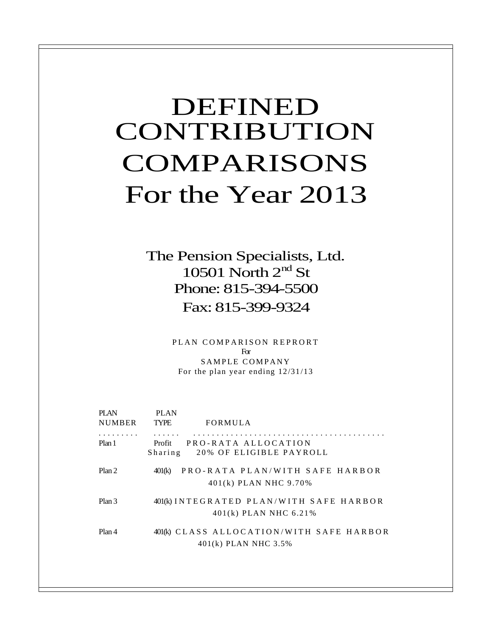# DEFINED CONTRIBUTION COMPARISONS For the Year 2013

The Pension Specialists, Ltd. 10501 North  $2<sup>nd</sup>$  St Phone: 815-394-5500 Fax: 815-399-9324

> PLAN COMPARISON REPRORT For SAMPLE COMPANY For the plan year ending 12/31/13

| <b>PI AN</b><br><b>NUMBER</b> | PLAN<br>TYPE       | FORMULA                                                            |  |
|-------------------------------|--------------------|--------------------------------------------------------------------|--|
| Plan 1                        | Sharing            | Profit PRO-RATA ALLOCATION<br>20% OF ELIGIBLE PAYROLL              |  |
| Plan 2                        | 401 <sub>(k)</sub> | PRO-RATA PLAN/WITH SAFE HARBOR<br>401(k) PLAN NHC 9.70%            |  |
| Plan 3                        |                    | 401(k) INTEGRATED PLAN/WITH SAFE HARBOR<br>$401(k)$ PLAN NHC 6.21% |  |
| Plan 4                        |                    | 401(k) CLASS ALLOCATION/WITH SAFE HARBOR<br>401(k) PLAN NHC 3.5%   |  |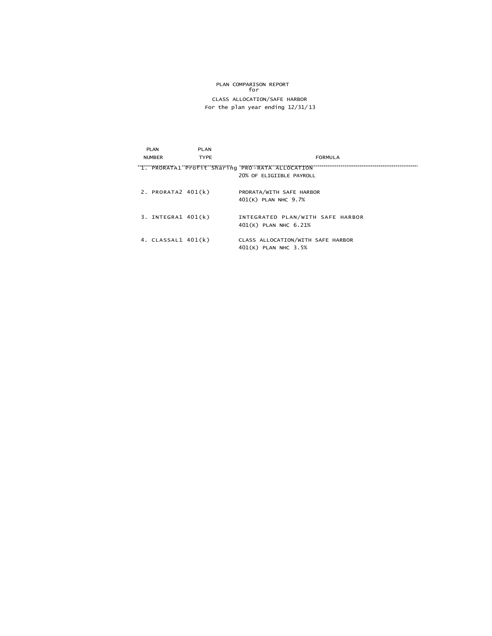# PLAN COMPARISON REPORT for CLASS ALLOCATION/SAFE HARBOR For the plan year ending 12/31/ 13

| PLAN                   | <b>PLAN</b> |                                                 |
|------------------------|-------------|-------------------------------------------------|
| <b>NUMBER</b>          | <b>TYPE</b> | <b>FORMULA</b>                                  |
|                        |             | "1. PRORATA1 Profit Sharing PRO-RATA ALLOCATION |
|                        |             | 20% OF ELIGIIBLE PAYROLL                        |
| 2. PRORATA2 $401(k)$   |             | PRORATA/WITH SAFE HARBOR                        |
|                        |             | 401(K) PLAN NHC 9.7%                            |
|                        |             |                                                 |
| $3.$ INTEGRA1 $401(k)$ |             | INTEGRATED PLAN/WITH SAFE HARBOR                |
|                        |             | 401(K) PLAN NHC 6.21%                           |
| 4. $CLASSAL1 401(k)$   |             | CLASS ALLOCATION/WITH SAFE HARBOR               |
|                        |             | 401(K) PLAN NHC 3.5%                            |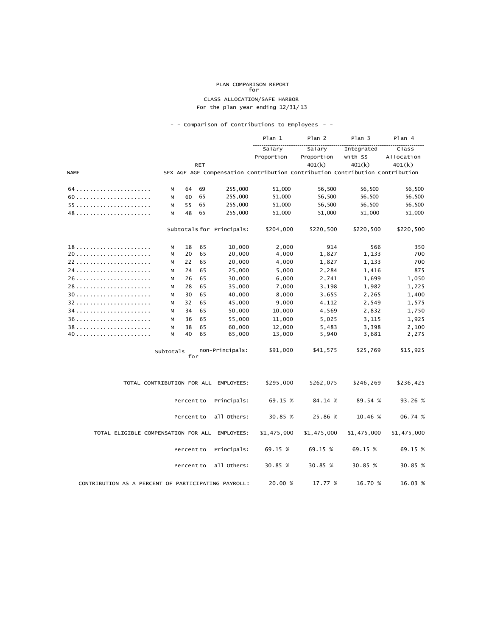# PLAN COMPARISON REPORT for

#### CLASS ALLOCATION/SAFE HARBOR For the plan year ending 12/31/ 13

## - - Comparison of Contributions to Employees - -

|                                                     |                                                                              |            |            |                                       | Plan 1           | Plan 2         | Plan 3         | Plan 4         |
|-----------------------------------------------------|------------------------------------------------------------------------------|------------|------------|---------------------------------------|------------------|----------------|----------------|----------------|
|                                                     |                                                                              |            |            |                                       | Salary           | Salary         | Integrated     | Class          |
|                                                     |                                                                              |            |            |                                       | Proportion       | Proportion     | with SS        | Allocation     |
|                                                     |                                                                              |            | <b>RET</b> |                                       |                  | 401(k)         | 401(k)         | 401(k)         |
| <b>NAME</b>                                         | SEX AGE AGE Compensation Contribution Contribution Contribution Contribution |            |            |                                       |                  |                |                |                |
|                                                     | М                                                                            | 64         | 69         | 255,000                               | 51,000           | 56,500         | 56,500         | 56,500         |
|                                                     | M                                                                            | 60         | 65         | 255,000                               | 51,000           | 56,500         | 56,500         | 56,500         |
| 55                                                  | M                                                                            | 55         | 65         | 255,000                               | 51,000           | 56,500         | 56,500         | 56,500         |
|                                                     | м                                                                            | 48         | 65         | 255,000                               | 51,000           | 51,000         | 51,000         | 51,000         |
|                                                     |                                                                              |            |            | Subtotals for Principals:             | \$204,000        | \$220,500      | \$220,500      | \$220,500      |
|                                                     | М                                                                            | 18         | 65         | 10,000                                | 2,000            | 914            | 566            | 350            |
| 20                                                  | M                                                                            | 20         | 65         | 20,000                                | 4,000            | 1,827          | 1,133          | 700            |
|                                                     | M                                                                            | 22         | 65         | 20,000                                | 4,000            | 1,827          | 1,133          | 700            |
|                                                     | М                                                                            | 24         | 65         | 25,000                                | 5,000            | 2,284          | 1,416          | 875            |
| 26                                                  | М                                                                            | 26         | 65         | 30,000                                | 6,000            | 2,741          | 1,699          | 1,050          |
| 28                                                  | M                                                                            | 28         | 65         | 35,000                                | 7,000            | 3,198          | 1,982          | 1,225          |
| 30                                                  | М                                                                            | 30         | 65         | 40,000                                | 8,000            | 3,655          | 2,265          | 1,400          |
| 32                                                  | М                                                                            | 32         | 65         | 45,000                                | 9,000            | 4,112          | 2,549          | 1,575          |
|                                                     | м                                                                            | 34         | 65         | 50,000                                | 10,000           | 4,569          | 2,832          | 1,750          |
| 36                                                  | M                                                                            | 36         | 65         | 55,000                                | 11,000           | 5,025          | 3,115          | 1,925          |
| 38                                                  | M<br>M                                                                       | 38<br>40   | 65<br>65   | 60,000<br>65,000                      | 12,000<br>13,000 | 5,483<br>5,940 | 3,398<br>3,681 | 2,100<br>2,275 |
|                                                     | Subtotals                                                                    | for        |            | non-Principals:                       | \$91,000         | \$41,575       | \$25,769       | \$15,925       |
|                                                     |                                                                              |            |            | TOTAL CONTRIBUTION FOR ALL EMPLOYEES: | \$295,000        | \$262,075      | \$246,269      | \$236,425      |
|                                                     |                                                                              | Percent to |            | Principals:                           | 69.15 %          | 84.14 %        | 89.54 %        | 93.26 %        |
|                                                     |                                                                              | Percent to |            | all Others:                           | 30.85 %          | 25.86 %        | 10.46 %        | 06.74 %        |
| TOTAL ELIGIBLE COMPENSATION FOR ALL EMPLOYEES:      |                                                                              |            |            |                                       | \$1,475,000      | \$1,475,000    | \$1,475,000    | \$1,475,000    |
|                                                     |                                                                              | Percent to |            | Principals:                           | 69.15 %          | 69.15 %        | 69.15 %        | 69.15 %        |
|                                                     |                                                                              | Percent to |            | all Others:                           | 30.85 %          | 30.85 %        | 30.85 %        | 30.85 %        |
| CONTRIBUTION AS A PERCENT OF PARTICIPATING PAYROLL: |                                                                              |            |            |                                       | 20.00 %          | 17.77 %        | 16.70 %        | 16.03 %        |